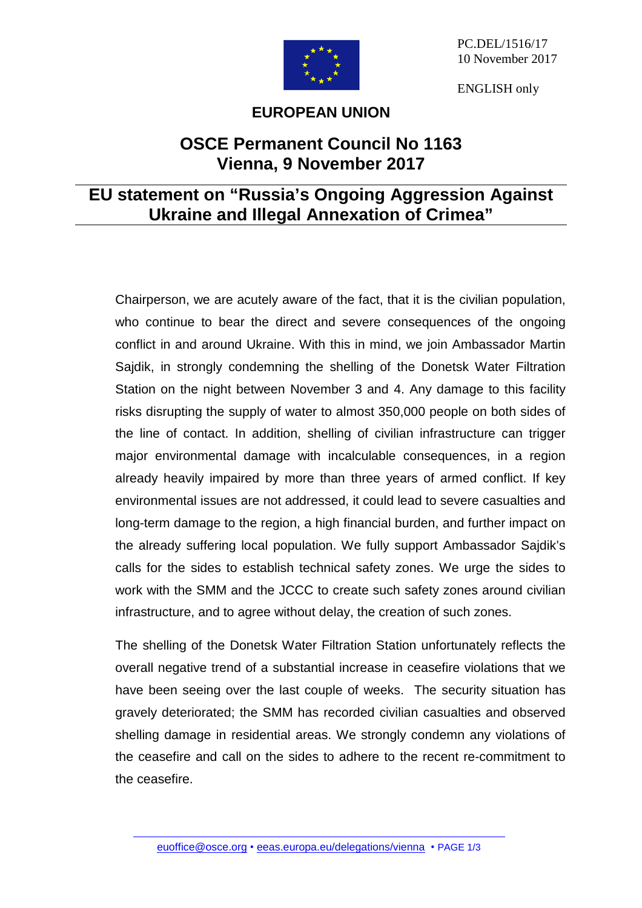

PC.DEL/1516/17 10 November 2017

ENGLISH only

## **EUROPEAN UNION**

## **OSCE Permanent Council No 1163 Vienna, 9 November 2017**

## **EU statement on "Russia's Ongoing Aggression Against Ukraine and Illegal Annexation of Crimea"**

Chairperson, we are acutely aware of the fact, that it is the civilian population, who continue to bear the direct and severe consequences of the ongoing conflict in and around Ukraine. With this in mind, we join Ambassador Martin Sajdik, in strongly condemning the shelling of the Donetsk Water Filtration Station on the night between November 3 and 4. Any damage to this facility risks disrupting the supply of water to almost 350,000 people on both sides of the line of contact. In addition, shelling of civilian infrastructure can trigger major environmental damage with incalculable consequences, in a region already heavily impaired by more than three years of armed conflict. If key environmental issues are not addressed, it could lead to severe casualties and long-term damage to the region, a high financial burden, and further impact on the already suffering local population. We fully support Ambassador Sajdik's calls for the sides to establish technical safety zones. We urge the sides to work with the SMM and the JCCC to create such safety zones around civilian infrastructure, and to agree without delay, the creation of such zones.

The shelling of the Donetsk Water Filtration Station unfortunately reflects the overall negative trend of a substantial increase in ceasefire violations that we have been seeing over the last couple of weeks. The security situation has gravely deteriorated; the SMM has recorded civilian casualties and observed shelling damage in residential areas. We strongly condemn any violations of the ceasefire and call on the sides to adhere to the recent re-commitment to the ceasefire.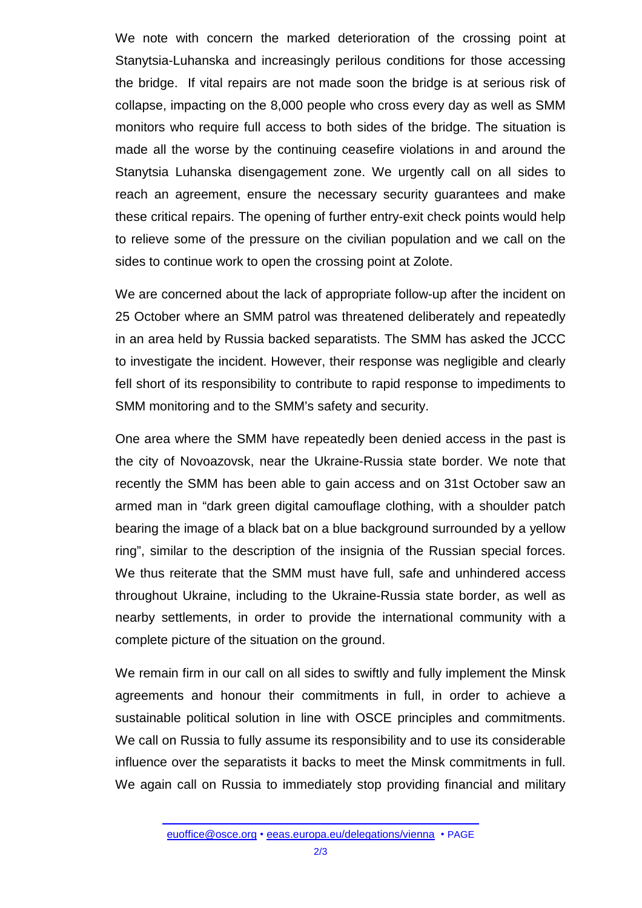We note with concern the marked deterioration of the crossing point at Stanytsia-Luhanska and increasingly perilous conditions for those accessing the bridge. If vital repairs are not made soon the bridge is at serious risk of collapse, impacting on the 8,000 people who cross every day as well as SMM monitors who require full access to both sides of the bridge. The situation is made all the worse by the continuing ceasefire violations in and around the Stanytsia Luhanska disengagement zone. We urgently call on all sides to reach an agreement, ensure the necessary security guarantees and make these critical repairs. The opening of further entry-exit check points would help to relieve some of the pressure on the civilian population and we call on the sides to continue work to open the crossing point at Zolote.

We are concerned about the lack of appropriate follow-up after the incident on 25 October where an SMM patrol was threatened deliberately and repeatedly in an area held by Russia backed separatists. The SMM has asked the JCCC to investigate the incident. However, their response was negligible and clearly fell short of its responsibility to contribute to rapid response to impediments to SMM monitoring and to the SMM's safety and security.

One area where the SMM have repeatedly been denied access in the past is the city of Novoazovsk, near the Ukraine-Russia state border. We note that recently the SMM has been able to gain access and on 31st October saw an armed man in "dark green digital camouflage clothing, with a shoulder patch bearing the image of a black bat on a blue background surrounded by a yellow ring", similar to the description of the insignia of the Russian special forces. We thus reiterate that the SMM must have full, safe and unhindered access throughout Ukraine, including to the Ukraine-Russia state border, as well as nearby settlements, in order to provide the international community with a complete picture of the situation on the ground.

We remain firm in our call on all sides to swiftly and fully implement the Minsk agreements and honour their commitments in full, in order to achieve a sustainable political solution in line with OSCE principles and commitments. We call on Russia to fully assume its responsibility and to use its considerable influence over the separatists it backs to meet the Minsk commitments in full. We again call on Russia to immediately stop providing financial and military

[euoffice@osce.org](mailto:euoffice@osce.org) • [eeas.europa.eu/delegations/vienna](http://eeas.europa.eu/delegations/vienna) • PAGE